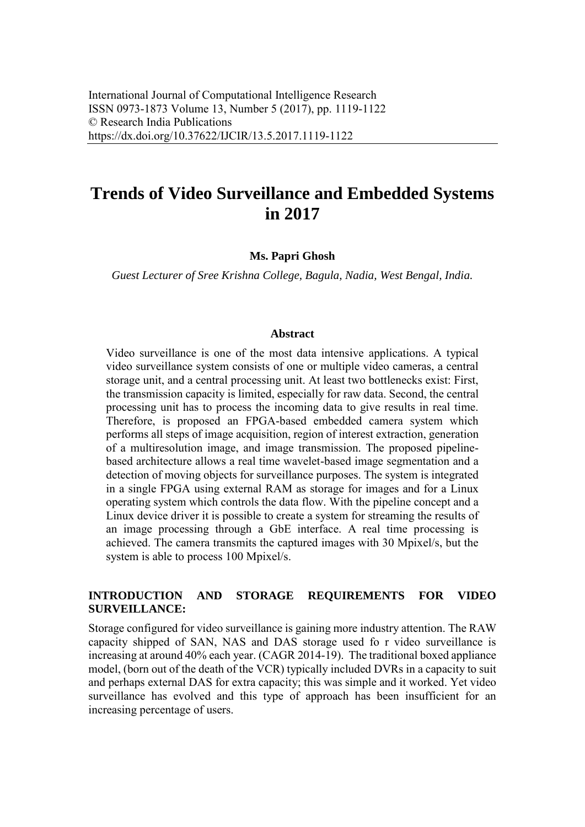# **Trends of Video Surveillance and Embedded Systems in 2017**

**Ms. Papri Ghosh**

*Guest Lecturer of Sree Krishna College, Bagula, Nadia, West Bengal, India.*

#### **Abstract**

Video surveillance is one of the most data intensive applications. A typical video surveillance system consists of one or multiple video cameras, a central storage unit, and a central processing unit. At least two bottlenecks exist: First, the transmission capacity is limited, especially for raw data. Second, the central processing unit has to process the incoming data to give results in real time. Therefore, is proposed an FPGA-based embedded camera system which performs all steps of image acquisition, region of interest extraction, generation of a multiresolution image, and image transmission. The proposed pipelinebased architecture allows a real time wavelet-based image segmentation and a detection of moving objects for surveillance purposes. The system is integrated in a single FPGA using external RAM as storage for images and for a Linux operating system which controls the data flow. With the pipeline concept and a Linux device driver it is possible to create a system for streaming the results of an image processing through a GbE interface. A real time processing is achieved. The camera transmits the captured images with 30 Mpixel/s, but the system is able to process 100 Mpixel/s.

#### **INTRODUCTION AND STORAGE REQUIREMENTS FOR VIDEO SURVEILLANCE:**

Storage configured for video surveillance is gaining more industry attention. The RAW capacity shipped of SAN, NAS and DAS storage used fo r video surveillance is increasing at around 40% each year. (CAGR 2014-19). The traditional boxed appliance model, (born out of the death of the VCR) typically included DVRs in a capacity to suit and perhaps external DAS for extra capacity; this was simple and it worked. Yet video surveillance has evolved and this type of approach has been insufficient for an increasing percentage of users.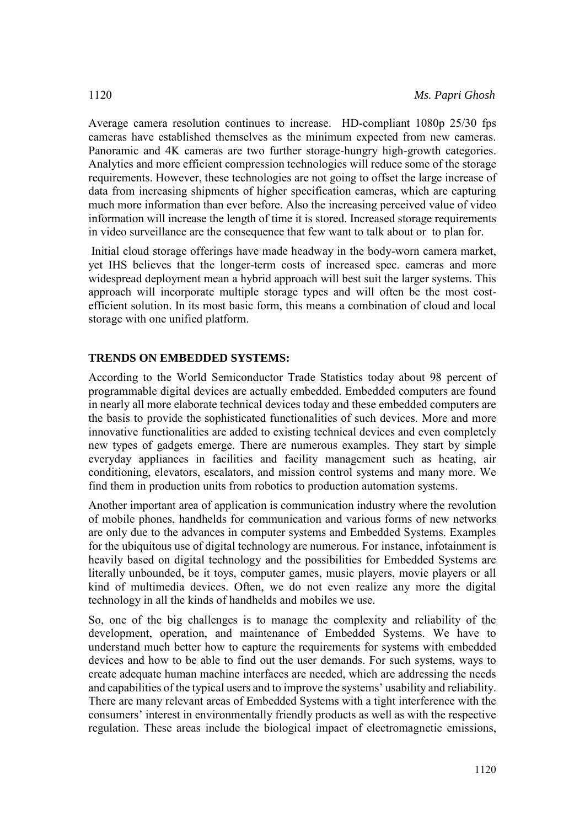Average camera resolution continues to increase. HD-compliant 1080p 25/30 fps cameras have established themselves as the minimum expected from new cameras. Panoramic and 4K cameras are two further storage-hungry high-growth categories. Analytics and more efficient compression technologies will reduce some of the storage requirements. However, these technologies are not going to offset the large increase of data from increasing shipments of higher specification cameras, which are capturing much more information than ever before. Also the increasing perceived value of video information will increase the length of time it is stored. Increased storage requirements in video surveillance are the consequence that few want to talk about or to plan for.

Initial cloud storage offerings have made headway in the body-worn camera market, yet IHS believes that the longer-term costs of increased spec. cameras and more widespread deployment mean a hybrid approach will best suit the larger systems. This approach will incorporate multiple storage types and will often be the most costefficient solution. In its most basic form, this means a combination of cloud and local storage with one unified platform.

#### **TRENDS ON EMBEDDED SYSTEMS:**

According to the World Semiconductor Trade Statistics today about 98 percent of programmable digital devices are actually embedded. Embedded computers are found in nearly all more elaborate technical devices today and these embedded computers are the basis to provide the sophisticated functionalities of such devices. More and more innovative functionalities are added to existing technical devices and even completely new types of gadgets emerge. There are numerous examples. They start by simple everyday appliances in facilities and facility management such as heating, air conditioning, elevators, escalators, and mission control systems and many more. We find them in production units from robotics to production automation systems.

Another important area of application is communication industry where the revolution of mobile phones, handhelds for communication and various forms of new networks are only due to the advances in computer systems and Embedded Systems. Examples for the ubiquitous use of digital technology are numerous. For instance, infotainment is heavily based on digital technology and the possibilities for Embedded Systems are literally unbounded, be it toys, computer games, music players, movie players or all kind of multimedia devices. Often, we do not even realize any more the digital technology in all the kinds of handhelds and mobiles we use.

So, one of the big challenges is to manage the complexity and reliability of the development, operation, and maintenance of Embedded Systems. We have to understand much better how to capture the requirements for systems with embedded devices and how to be able to find out the user demands. For such systems, ways to create adequate human machine interfaces are needed, which are addressing the needs and capabilities of the typical users and to improve the systems' usability and reliability. There are many relevant areas of Embedded Systems with a tight interference with the consumers' interest in environmentally friendly products as well as with the respective regulation. These areas include the biological impact of electromagnetic emissions,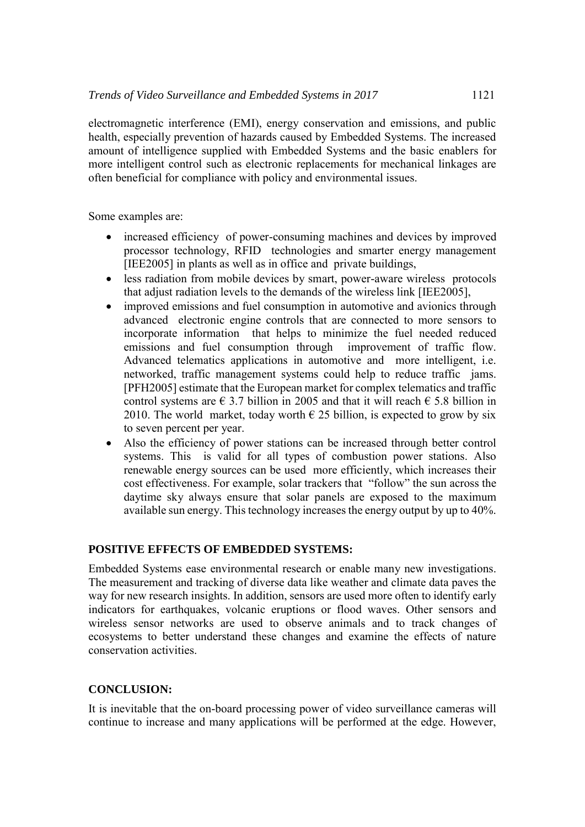electromagnetic interference (EMI), energy conservation and emissions, and public health, especially prevention of hazards caused by Embedded Systems. The increased amount of intelligence supplied with Embedded Systems and the basic enablers for more intelligent control such as electronic replacements for mechanical linkages are often beneficial for compliance with policy and environmental issues.

Some examples are:

- increased efficiency of power-consuming machines and devices by improved processor technology, RFID technologies and smarter energy management [IEE2005] in plants as well as in office and private buildings,
- less radiation from mobile devices by smart, power-aware wireless protocols that adjust radiation levels to the demands of the wireless link [IEE2005],
- improved emissions and fuel consumption in automotive and avionics through advanced electronic engine controls that are connected to more sensors to incorporate information that helps to minimize the fuel needed reduced emissions and fuel consumption through improvement of traffic flow. Advanced telematics applications in automotive and more intelligent, i.e. networked, traffic management systems could help to reduce traffic jams. [PFH2005] estimate that the European market for complex telematics and traffic control systems are  $\epsilon$  3.7 billion in 2005 and that it will reach  $\epsilon$  5.8 billion in 2010. The world market, today worth  $\epsilon$  25 billion, is expected to grow by six to seven percent per year.
- Also the efficiency of power stations can be increased through better control systems. This is valid for all types of combustion power stations. Also renewable energy sources can be used more efficiently, which increases their cost effectiveness. For example, solar trackers that "follow" the sun across the daytime sky always ensure that solar panels are exposed to the maximum available sun energy. This technology increases the energy output by up to 40%.

#### **POSITIVE EFFECTS OF EMBEDDED SYSTEMS:**

Embedded Systems ease environmental research or enable many new investigations. The measurement and tracking of diverse data like weather and climate data paves the way for new research insights. In addition, sensors are used more often to identify early indicators for earthquakes, volcanic eruptions or flood waves. Other sensors and wireless sensor networks are used to observe animals and to track changes of ecosystems to better understand these changes and examine the effects of nature conservation activities.

#### **CONCLUSION:**

It is inevitable that the on-board processing power of video surveillance cameras will continue to increase and many applications will be performed at the edge. However,